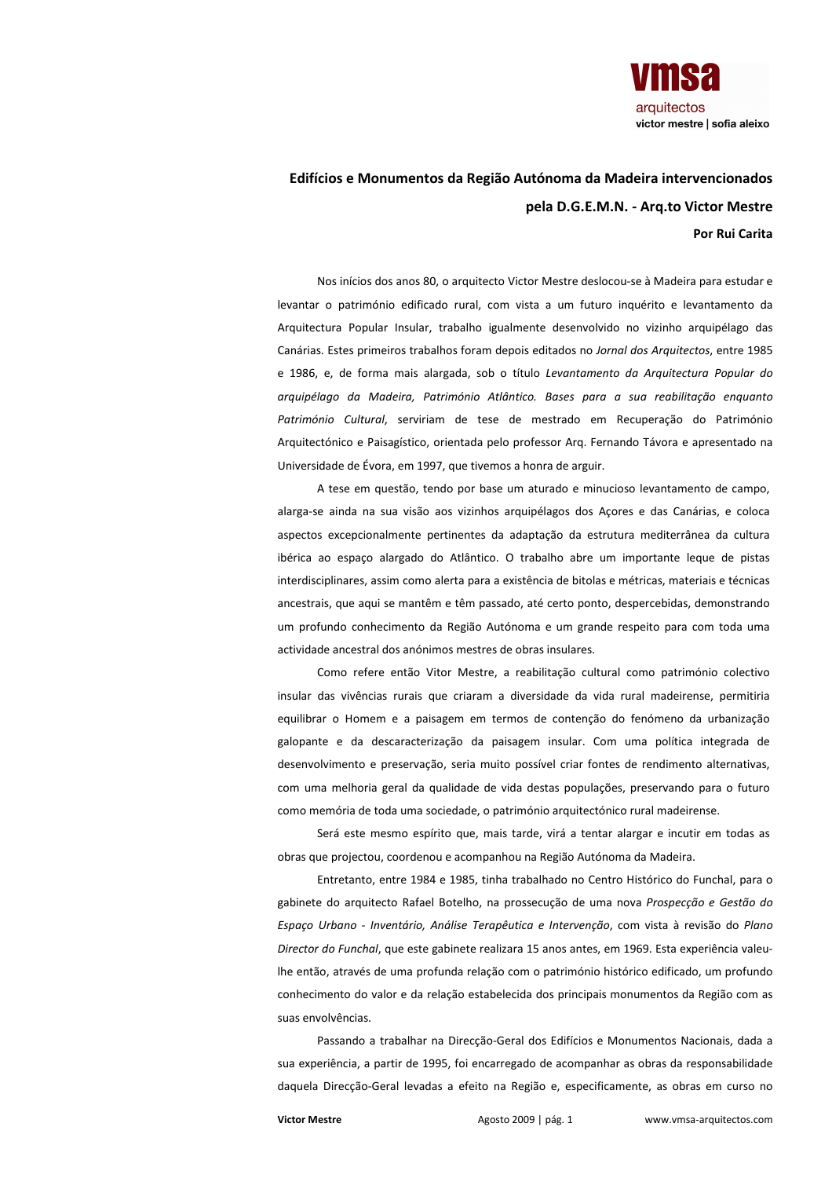

## Edifícios e Monumentos da Região Autónoma da Madeira intervencionados pela D.G.E.M.N. - Arq.to Victor Mestre

Por Rui Carita

Nos inícios dos anos 80, o arquitecto Victor Mestre deslocou-se à Madeira para estudar e levantar o património edificado rural, com vista a um futuro inquérito e levantamento da Arquitectura Popular Insular, trabalho igualmente desenvolvido no vizinho arquipélago das Canárias. Estes primeiros trabalhos foram depois editados no Jornal dos Arquitectos, entre 1985 e 1986, e, de forma mais alargada, sob o título Levantamento da Arquitectura Popular do arquipélago da Madeira, Património Atlântico. Bases para a sua reabilitação enquanto Património Cultural, serviriam de tese de mestrado em Recuperação do Património Arquitectónico e Paisagístico, orientada pelo professor Arq. Fernando Távora e apresentado na Universidade de Évora, em 1997, que tivemos a honra de arguir.

A tese em questão, tendo por base um aturado e minucioso levantamento de campo, alarga-se ainda na sua visão aos vizinhos arquipélagos dos Açores e das Canárias, e coloca aspectos excepcionalmente pertinentes da adaptação da estrutura mediterrânea da cultura ibérica ao espaço alargado do Atlântico. O trabalho abre um importante leque de pistas interdisciplinares, assim como alerta para a existência de bitolas e métricas, materiais e técnicas ancestrais, que aqui se mantêm e têm passado, até certo ponto, despercebidas, demonstrando um profundo conhecimento da Região Autónoma e um grande respeito para com toda uma actividade ancestral dos anónimos mestres de obras insulares.

Como refere então Vitor Mestre, a reabilitação cultural como património colectivo insular das vivências rurais que criaram a diversidade da vida rural madeirense, permitiria equilibrar o Homem e a paisagem em termos de contenção do fenómeno da urbanização galopante e da descaracterização da paisagem insular. Com uma política integrada de desenvolvimento e preservação, seria muito possível criar fontes de rendimento alternativas, com uma melhoria geral da qualidade de vida destas populações, preservando para o futuro como memória de toda uma sociedade, o património arquitectónico rural madeirense.

Será este mesmo espírito que, mais tarde, virá a tentar alargar e incutir em todas as obras que projectou, coordenou e acompanhou na Região Autónoma da Madeira.

Entretanto, entre 1984 e 1985, tinha trabalhado no Centro Histórico do Funchal, para o gabinete do arquitecto Rafael Botelho, na prossecução de uma nova Prospecção e Gestão do Espaço Urbano - Inventário, Análise Terapêutica e Intervenção, com vista à revisão do Plano Director do Funchal, que este gabinete realizara 15 anos antes, em 1969. Esta experiência valeulhe então, através de uma profunda relação com o património histórico edificado, um profundo conhecimento do valor e da relação estabelecida dos principais monumentos da Região com as suas envolvências.

Passando a trabalhar na Direcção-Geral dos Edifícios e Monumentos Nacionais, dada a sua experiência, a partir de 1995, foi encarregado de acompanhar as obras da responsabilidade daquela Direcção-Geral levadas a efeito na Região e, especificamente, as obras em curso no

**Victor Mestre** 

Agosto 2009 | pág. 1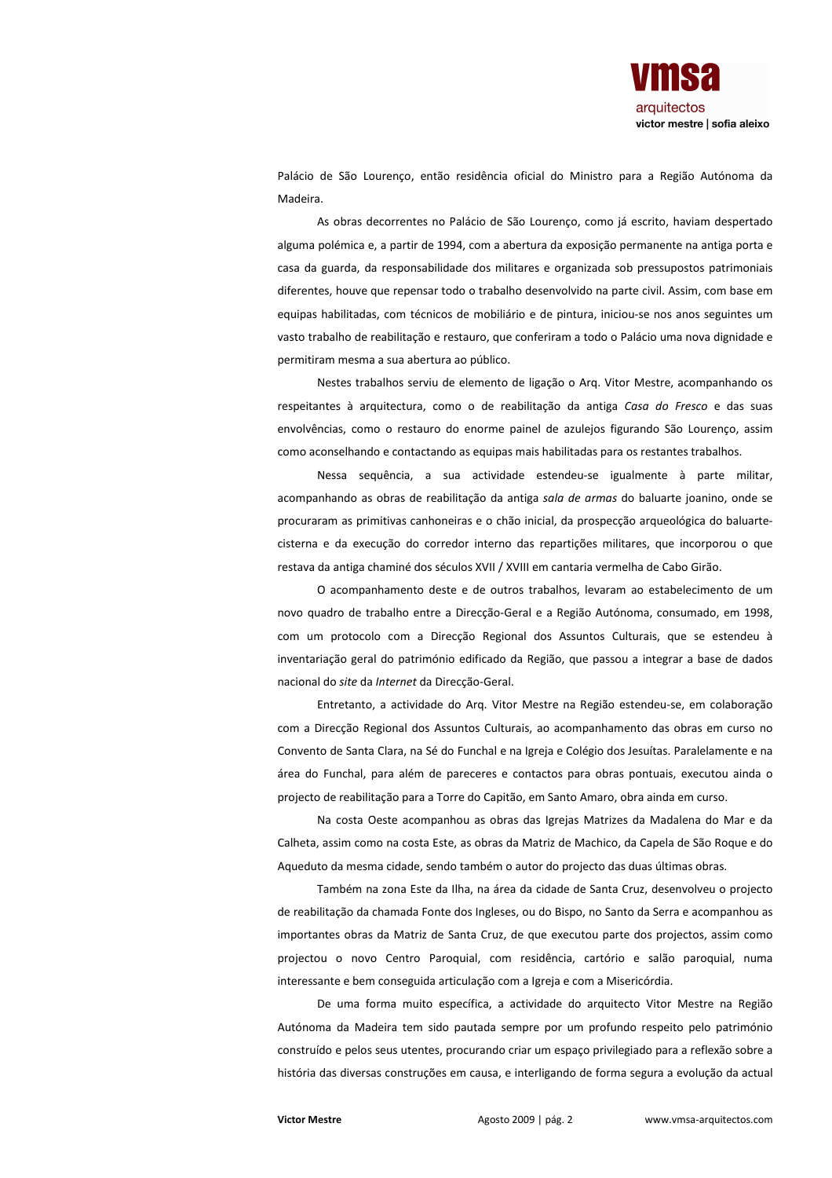

Palácio de São Lourenço, então residência oficial do Ministro para a Região Autónoma da Madeira.

As obras decorrentes no Palácio de São Lourenço, como já escrito, haviam despertado alguma polémica e, a partir de 1994, com a abertura da exposição permanente na antiga porta e casa da guarda, da responsabilidade dos militares e organizada sob pressupostos patrimoniais diferentes, houve que repensar todo o trabalho desenvolvido na parte civil. Assim, com base em equipas habilitadas, com técnicos de mobiliário e de pintura, iniciou-se nos anos seguintes um vasto trabalho de reabilitação e restauro, que conferiram a todo o Palácio uma nova dignidade e permitiram mesma a sua abertura ao público.

Nestes trabalhos serviu de elemento de ligação o Arq. Vitor Mestre, acompanhando os respeitantes à arquitectura, como o de reabilitação da antiga Casa do Fresco e das suas envolvências, como o restauro do enorme painel de azulejos figurando São Lourenço, assim como aconselhando e contactando as equipas mais habilitadas para os restantes trabalhos.

Nessa sequência, a sua actividade estendeu-se igualmente à parte militar, acompanhando as obras de reabilitação da antiga sala de armas do baluarte joanino, onde se procuraram as primitivas canhoneiras e o chão inicial, da prospecção arqueológica do baluartecisterna e da execução do corredor interno das repartições militares, que incorporou o que restava da antiga chaminé dos séculos XVII / XVIII em cantaria vermelha de Cabo Girão.

O acompanhamento deste e de outros trabalhos, levaram ao estabelecimento de um novo quadro de trabalho entre a Direcção-Geral e a Região Autónoma, consumado, em 1998. com um protocolo com a Direcção Regional dos Assuntos Culturais, que se estendeu à inventariação geral do património edificado da Região, que passou a integrar a base de dados nacional do site da Internet da Direcção-Geral.

Entretanto, a actividade do Arq. Vitor Mestre na Região estendeu-se, em colaboração com a Direcção Regional dos Assuntos Culturais, ao acompanhamento das obras em curso no Convento de Santa Clara, na Sé do Funchal e na Igreja e Colégio dos Jesuítas. Paralelamente e na área do Funchal, para além de pareceres e contactos para obras pontuais, executou ainda o projecto de reabilitação para a Torre do Capitão, em Santo Amaro, obra ainda em curso.

Na costa Oeste acompanhou as obras das Igrejas Matrizes da Madalena do Mar e da Calheta, assim como na costa Este, as obras da Matriz de Machico, da Capela de São Roque e do Aqueduto da mesma cidade, sendo também o autor do projecto das duas últimas obras.

Também na zona Este da Ilha, na área da cidade de Santa Cruz, desenvolveu o projecto de reabilitação da chamada Fonte dos Ingleses, ou do Bispo, no Santo da Serra e acompanhou as importantes obras da Matriz de Santa Cruz, de que executou parte dos projectos, assim como projectou o novo Centro Paroguial, com residência, cartório e salão paroguial, numa interessante e bem conseguida articulação com a Igreja e com a Misericórdia.

De uma forma muito específica, a actividade do arguitecto Vitor Mestre na Região Autónoma da Madeira tem sido pautada sempre por um profundo respeito pelo património construído e pelos seus utentes, procurando criar um espaço privilegiado para a reflexão sobre a história das diversas construções em causa, e interligando de forma segura a evolução da actual